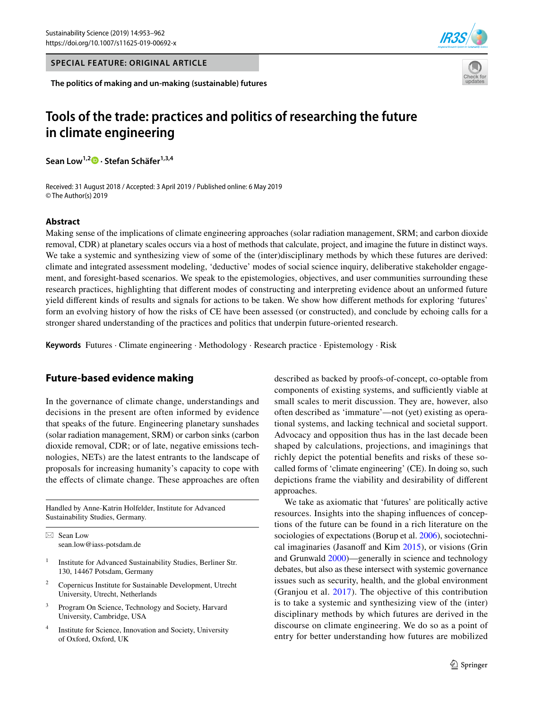**SPECIAL FEATURE: ORIGINAL ARTICLE**

**The politics of making and un-making (sustainable) futures**





# **Tools of the trade: practices and politics of researching the future in climate engineering**

**Sean Low1,2 · Stefan Schäfer1,3,4**

Received: 31 August 2018 / Accepted: 3 April 2019 / Published online: 6 May 2019 © The Author(s) 2019

# **Abstract**

Making sense of the implications of climate engineering approaches (solar radiation management, SRM; and carbon dioxide removal, CDR) at planetary scales occurs via a host of methods that calculate, project, and imagine the future in distinct ways. We take a systemic and synthesizing view of some of the (inter)disciplinary methods by which these futures are derived: climate and integrated assessment modeling, 'deductive' modes of social science inquiry, deliberative stakeholder engagement, and foresight-based scenarios. We speak to the epistemologies, objectives, and user communities surrounding these research practices, highlighting that diferent modes of constructing and interpreting evidence about an unformed future yield diferent kinds of results and signals for actions to be taken. We show how diferent methods for exploring 'futures' form an evolving history of how the risks of CE have been assessed (or constructed), and conclude by echoing calls for a stronger shared understanding of the practices and politics that underpin future-oriented research.

**Keywords** Futures · Climate engineering · Methodology · Research practice · Epistemology · Risk

# **Future‑based evidence making**

In the governance of climate change, understandings and decisions in the present are often informed by evidence that speaks of the future. Engineering planetary sunshades (solar radiation management, SRM) or carbon sinks (carbon dioxide removal, CDR; or of late, negative emissions technologies, NETs) are the latest entrants to the landscape of proposals for increasing humanity's capacity to cope with the effects of climate change. These approaches are often

Handled by Anne-Katrin Holfelder, Institute for Advanced Sustainability Studies, Germany.

 $\boxtimes$  Sean Low sean.low@iass-potsdam.de

- <sup>1</sup> Institute for Advanced Sustainability Studies, Berliner Str. 130, 14467 Potsdam, Germany
- <sup>2</sup> Copernicus Institute for Sustainable Development, Utrecht University, Utrecht, Netherlands
- <sup>3</sup> Program On Science, Technology and Society, Harvard University, Cambridge, USA
- <sup>4</sup> Institute for Science, Innovation and Society, University of Oxford, Oxford, UK

described as backed by proofs-of-concept, co-optable from components of existing systems, and sufficiently viable at small scales to merit discussion. They are, however, also often described as 'immature'—not (yet) existing as operational systems, and lacking technical and societal support. Advocacy and opposition thus has in the last decade been shaped by calculations, projections, and imaginings that richly depict the potential benefts and risks of these socalled forms of 'climate engineering' (CE). In doing so, such depictions frame the viability and desirability of diferent approaches.

We take as axiomatic that 'futures' are politically active resources. Insights into the shaping infuences of conceptions of the future can be found in a rich literature on the sociologies of expectations (Borup et al. [2006\)](#page-8-0), sociotechnical imaginaries (Jasanoff and Kim  $2015$ ), or visions (Grin and Grunwald [2000](#page-8-1))—generally in science and technology debates, but also as these intersect with systemic governance issues such as security, health, and the global environment (Granjou et al. [2017](#page-8-2)). The objective of this contribution is to take a systemic and synthesizing view of the (inter) disciplinary methods by which futures are derived in the discourse on climate engineering. We do so as a point of entry for better understanding how futures are mobilized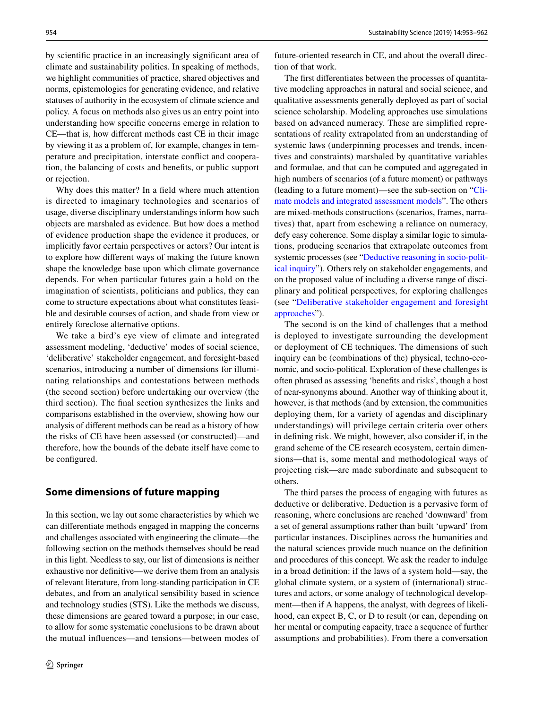by scientifc practice in an increasingly signifcant area of climate and sustainability politics. In speaking of methods, we highlight communities of practice, shared objectives and norms, epistemologies for generating evidence, and relative statuses of authority in the ecosystem of climate science and policy. A focus on methods also gives us an entry point into understanding how specifc concerns emerge in relation to CE—that is, how diferent methods cast CE in their image by viewing it as a problem of, for example, changes in temperature and precipitation, interstate confict and cooperation, the balancing of costs and benefts, or public support or rejection.

Why does this matter? In a feld where much attention is directed to imaginary technologies and scenarios of usage, diverse disciplinary understandings inform how such objects are marshaled as evidence. But how does a method of evidence production shape the evidence it produces, or implicitly favor certain perspectives or actors? Our intent is to explore how diferent ways of making the future known shape the knowledge base upon which climate governance depends. For when particular futures gain a hold on the imagination of scientists, politicians and publics, they can come to structure expectations about what constitutes feasible and desirable courses of action, and shade from view or entirely foreclose alternative options.

We take a bird's eye view of climate and integrated assessment modeling, 'deductive' modes of social science, 'deliberative' stakeholder engagement, and foresight-based scenarios, introducing a number of dimensions for illuminating relationships and contestations between methods (the second section) before undertaking our overview (the third section). The fnal section synthesizes the links and comparisons established in the overview, showing how our analysis of diferent methods can be read as a history of how the risks of CE have been assessed (or constructed)—and therefore, how the bounds of the debate itself have come to be configured.

### **Some dimensions of future mapping**

In this section, we lay out some characteristics by which we can diferentiate methods engaged in mapping the concerns and challenges associated with engineering the climate—the following section on the methods themselves should be read in this light. Needless to say, our list of dimensions is neither exhaustive nor defnitive—we derive them from an analysis of relevant literature, from long-standing participation in CE debates, and from an analytical sensibility based in science and technology studies (STS). Like the methods we discuss, these dimensions are geared toward a purpose; in our case, to allow for some systematic conclusions to be drawn about the mutual infuences—and tensions—between modes of future-oriented research in CE, and about the overall direction of that work.

The frst diferentiates between the processes of quantitative modeling approaches in natural and social science, and qualitative assessments generally deployed as part of social science scholarship. Modeling approaches use simulations based on advanced numeracy. These are simplifed representations of reality extrapolated from an understanding of systemic laws (underpinning processes and trends, incentives and constraints) marshaled by quantitative variables and formulae, and that can be computed and aggregated in high numbers of scenarios (of a future moment) or pathways (leading to a future moment)—see the sub-section on "[Cli](#page-2-0)[mate models and integrated assessment models](#page-2-0)". The others are mixed-methods constructions (scenarios, frames, narratives) that, apart from eschewing a reliance on numeracy, defy easy coherence. Some display a similar logic to simulations, producing scenarios that extrapolate outcomes from systemic processes (see ["Deductive reasoning in socio-polit](#page-4-0)[ical inquiry](#page-4-0)"). Others rely on stakeholder engagements, and on the proposed value of including a diverse range of disciplinary and political perspectives, for exploring challenges (see "[Deliberative stakeholder engagement and foresight](#page-5-0) [approaches](#page-5-0)").

The second is on the kind of challenges that a method is deployed to investigate surrounding the development or deployment of CE techniques. The dimensions of such inquiry can be (combinations of the) physical, techno-economic, and socio-political. Exploration of these challenges is often phrased as assessing 'benefts and risks', though a host of near-synonyms abound. Another way of thinking about it, however, is that methods (and by extension, the communities deploying them, for a variety of agendas and disciplinary understandings) will privilege certain criteria over others in defning risk. We might, however, also consider if, in the grand scheme of the CE research ecosystem, certain dimensions—that is, some mental and methodological ways of projecting risk—are made subordinate and subsequent to others.

The third parses the process of engaging with futures as deductive or deliberative. Deduction is a pervasive form of reasoning, where conclusions are reached 'downward' from a set of general assumptions rather than built 'upward' from particular instances. Disciplines across the humanities and the natural sciences provide much nuance on the defnition and procedures of this concept. We ask the reader to indulge in a broad defnition: if the laws of a system hold—say, the global climate system, or a system of (international) structures and actors, or some analogy of technological development—then if A happens, the analyst, with degrees of likelihood, can expect B, C, or D to result (or can, depending on her mental or computing capacity, trace a sequence of further assumptions and probabilities). From there a conversation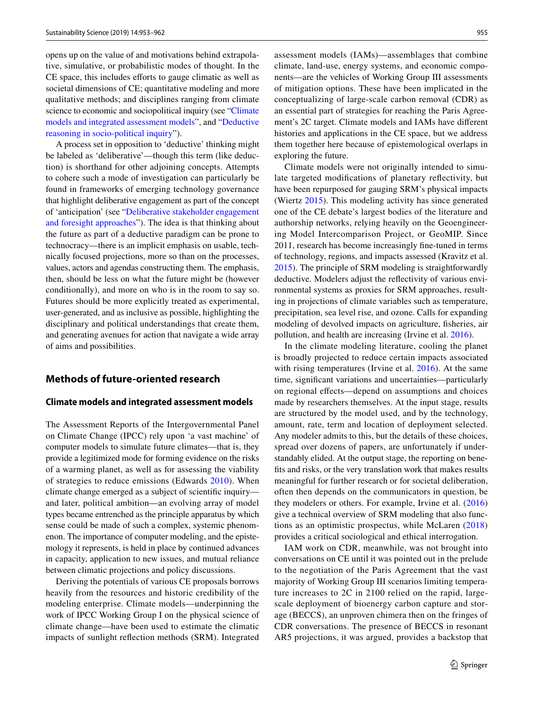opens up on the value of and motivations behind extrapolative, simulative, or probabilistic modes of thought. In the CE space, this includes efforts to gauge climatic as well as societal dimensions of CE; quantitative modeling and more qualitative methods; and disciplines ranging from climate science to economic and sociopolitical inquiry (see "[Climate](#page-2-0) [models and integrated assessment models"](#page-2-0), and "[Deductive](#page-4-0) [reasoning in socio-political inquiry"](#page-4-0)).

A process set in opposition to 'deductive' thinking might be labeled as 'deliberative'—though this term (like deduction) is shorthand for other adjoining concepts. Attempts to cohere such a mode of investigation can particularly be found in frameworks of emerging technology governance that highlight deliberative engagement as part of the concept of 'anticipation' (see "[Deliberative stakeholder engagement](#page-5-0) [and foresight approaches"](#page-5-0)). The idea is that thinking about the future as part of a deductive paradigm can be prone to technocracy—there is an implicit emphasis on usable, technically focused projections, more so than on the processes, values, actors and agendas constructing them. The emphasis, then, should be less on what the future might be (however conditionally), and more on who is in the room to say so. Futures should be more explicitly treated as experimental, user-generated, and as inclusive as possible, highlighting the disciplinary and political understandings that create them, and generating avenues for action that navigate a wide array of aims and possibilities.

# **Methods of future‑oriented research**

#### <span id="page-2-0"></span>**Climate models and integrated assessment models**

The Assessment Reports of the Intergovernmental Panel on Climate Change (IPCC) rely upon 'a vast machine' of computer models to simulate future climates—that is, they provide a legitimized mode for forming evidence on the risks of a warming planet, as well as for assessing the viability of strategies to reduce emissions (Edwards [2010](#page-8-3)). When climate change emerged as a subject of scientifc inquiry and later, political ambition—an evolving array of model types became entrenched as the principle apparatus by which sense could be made of such a complex, systemic phenomenon. The importance of computer modeling, and the epistemology it represents, is held in place by continued advances in capacity, application to new issues, and mutual reliance between climatic projections and policy discussions.

Deriving the potentials of various CE proposals borrows heavily from the resources and historic credibility of the modeling enterprise. Climate models—underpinning the work of IPCC Working Group I on the physical science of climate change—have been used to estimate the climatic impacts of sunlight refection methods (SRM). Integrated assessment models (IAMs)—assemblages that combine climate, land-use, energy systems, and economic components—are the vehicles of Working Group III assessments of mitigation options. These have been implicated in the conceptualizing of large-scale carbon removal (CDR) as an essential part of strategies for reaching the Paris Agreement's 2C target. Climate models and IAMs have diferent histories and applications in the CE space, but we address them together here because of epistemological overlaps in exploring the future.

Climate models were not originally intended to simulate targeted modifcations of planetary refectivity, but have been repurposed for gauging SRM's physical impacts (Wiertz [2015](#page-9-1)). This modeling activity has since generated one of the CE debate's largest bodies of the literature and authorship networks, relying heavily on the Geoengineering Model Intercomparison Project, or GeoMIP. Since 2011, research has become increasingly fne-tuned in terms of technology, regions, and impacts assessed (Kravitz et al. [2015](#page-9-2)). The principle of SRM modeling is straightforwardly deductive. Modelers adjust the refectivity of various environmental systems as proxies for SRM approaches, resulting in projections of climate variables such as temperature, precipitation, sea level rise, and ozone. Calls for expanding modeling of devolved impacts on agriculture, fsheries, air pollution, and health are increasing (Irvine et al. [2016](#page-9-3)).

In the climate modeling literature, cooling the planet is broadly projected to reduce certain impacts associated with rising temperatures (Irvine et al. [2016\)](#page-9-3). At the same time, signifcant variations and uncertainties—particularly on regional efects—depend on assumptions and choices made by researchers themselves. At the input stage, results are structured by the model used, and by the technology, amount, rate, term and location of deployment selected. Any modeler admits to this, but the details of these choices, spread over dozens of papers, are unfortunately if understandably elided. At the output stage, the reporting on benefts and risks, or the very translation work that makes results meaningful for further research or for societal deliberation, often then depends on the communicators in question, be they modelers or others. For example, Irvine et al. [\(2016\)](#page-9-3) give a technical overview of SRM modeling that also functions as an optimistic prospectus, while McLaren ([2018\)](#page-9-4) provides a critical sociological and ethical interrogation.

IAM work on CDR, meanwhile, was not brought into conversations on CE until it was pointed out in the prelude to the negotiation of the Paris Agreement that the vast majority of Working Group III scenarios limiting temperature increases to 2C in 2100 relied on the rapid, largescale deployment of bioenergy carbon capture and storage (BECCS), an unproven chimera then on the fringes of CDR conversations. The presence of BECCS in resonant AR5 projections, it was argued, provides a backstop that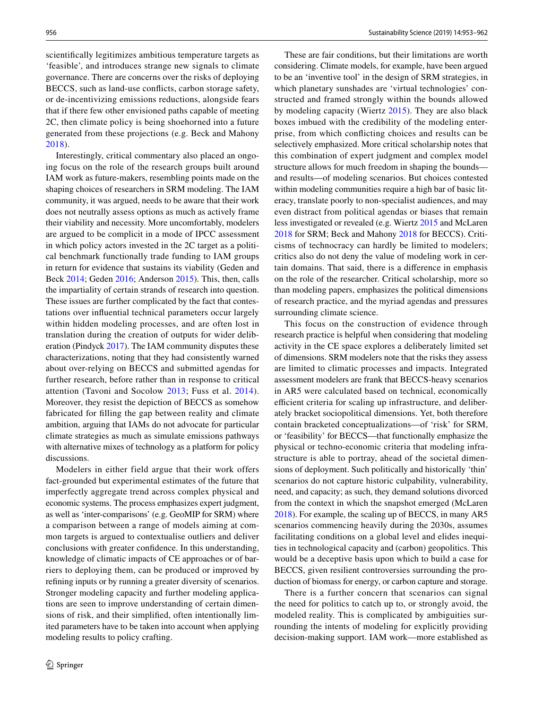scientifcally legitimizes ambitious temperature targets as 'feasible', and introduces strange new signals to climate governance. There are concerns over the risks of deploying BECCS, such as land-use conficts, carbon storage safety, or de-incentivizing emissions reductions, alongside fears that if there few other envisioned paths capable of meeting 2C, then climate policy is being shoehorned into a future generated from these projections (e.g. Beck and Mahony [2018\)](#page-8-4).

Interestingly, critical commentary also placed an ongoing focus on the role of the research groups built around IAM work as future-makers, resembling points made on the shaping choices of researchers in SRM modeling. The IAM community, it was argued, needs to be aware that their work does not neutrally assess options as much as actively frame their viability and necessity. More uncomfortably, modelers are argued to be complicit in a mode of IPCC assessment in which policy actors invested in the 2C target as a political benchmark functionally trade funding to IAM groups in return for evidence that sustains its viability (Geden and Beck [2014](#page-8-5); Geden [2016;](#page-8-6) Anderson [2015](#page-8-7)). This, then, calls the impartiality of certain strands of research into question. These issues are further complicated by the fact that contestations over infuential technical parameters occur largely within hidden modeling processes, and are often lost in translation during the creation of outputs for wider deliberation (Pindyck [2017\)](#page-9-5). The IAM community disputes these characterizations, noting that they had consistently warned about over-relying on BECCS and submitted agendas for further research, before rather than in response to critical attention (Tavoni and Socolow [2013](#page-9-6); Fuss et al. [2014](#page-8-8)). Moreover, they resist the depiction of BECCS as somehow fabricated for flling the gap between reality and climate ambition, arguing that IAMs do not advocate for particular climate strategies as much as simulate emissions pathways with alternative mixes of technology as a platform for policy discussions.

Modelers in either field argue that their work offers fact-grounded but experimental estimates of the future that imperfectly aggregate trend across complex physical and economic systems. The process emphasizes expert judgment, as well as 'inter-comparisons' (e.g. GeoMIP for SRM) where a comparison between a range of models aiming at common targets is argued to contextualise outliers and deliver conclusions with greater confdence. In this understanding, knowledge of climatic impacts of CE approaches or of barriers to deploying them, can be produced or improved by refning inputs or by running a greater diversity of scenarios. Stronger modeling capacity and further modeling applications are seen to improve understanding of certain dimensions of risk, and their simplifed, often intentionally limited parameters have to be taken into account when applying modeling results to policy crafting.

These are fair conditions, but their limitations are worth considering. Climate models, for example, have been argued to be an 'inventive tool' in the design of SRM strategies, in which planetary sunshades are 'virtual technologies' constructed and framed strongly within the bounds allowed by modeling capacity (Wiertz [2015\)](#page-9-1). They are also black boxes imbued with the credibility of the modeling enterprise, from which conficting choices and results can be selectively emphasized. More critical scholarship notes that this combination of expert judgment and complex model structure allows for much freedom in shaping the bounds and results—of modeling scenarios. But choices contested within modeling communities require a high bar of basic literacy, translate poorly to non-specialist audiences, and may even distract from political agendas or biases that remain less investigated or revealed (e.g. Wiertz [2015](#page-9-1) and McLaren [2018](#page-9-4) for SRM; Beck and Mahony [2018](#page-8-4) for BECCS). Criticisms of technocracy can hardly be limited to modelers; critics also do not deny the value of modeling work in certain domains. That said, there is a diference in emphasis on the role of the researcher. Critical scholarship, more so than modeling papers, emphasizes the political dimensions of research practice, and the myriad agendas and pressures surrounding climate science.

This focus on the construction of evidence through research practice is helpful when considering that modeling activity in the CE space explores a deliberately limited set of dimensions. SRM modelers note that the risks they assess are limited to climatic processes and impacts. Integrated assessment modelers are frank that BECCS-heavy scenarios in AR5 were calculated based on technical, economically efficient criteria for scaling up infrastructure, and deliberately bracket sociopolitical dimensions. Yet, both therefore contain bracketed conceptualizations—of 'risk' for SRM, or 'feasibility' for BECCS—that functionally emphasize the physical or techno-economic criteria that modeling infrastructure is able to portray, ahead of the societal dimensions of deployment. Such politically and historically 'thin' scenarios do not capture historic culpability, vulnerability, need, and capacity; as such, they demand solutions divorced from the context in which the snapshot emerged (McLaren [2018](#page-9-4)). For example, the scaling up of BECCS, in many AR5 scenarios commencing heavily during the 2030s, assumes facilitating conditions on a global level and elides inequities in technological capacity and (carbon) geopolitics. This would be a deceptive basis upon which to build a case for BECCS, given resilient controversies surrounding the production of biomass for energy, or carbon capture and storage.

There is a further concern that scenarios can signal the need for politics to catch up to, or strongly avoid, the modeled reality. This is complicated by ambiguities surrounding the intents of modeling for explicitly providing decision-making support. IAM work—more established as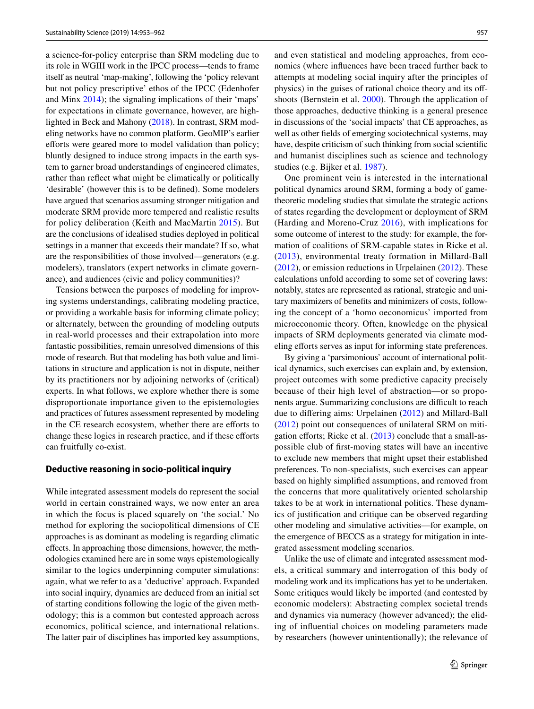a science-for-policy enterprise than SRM modeling due to its role in WGIII work in the IPCC process—tends to frame itself as neutral 'map-making', following the 'policy relevant but not policy prescriptive' ethos of the IPCC (Edenhofer and Minx [2014\)](#page-8-9); the signaling implications of their 'maps' for expectations in climate governance, however, are highlighted in Beck and Mahony [\(2018](#page-8-4)). In contrast, SRM modeling networks have no common platform. GeoMIP's earlier efforts were geared more to model validation than policy; bluntly designed to induce strong impacts in the earth system to garner broad understandings of engineered climates, rather than refect what might be climatically or politically 'desirable' (however this is to be defned). Some modelers have argued that scenarios assuming stronger mitigation and moderate SRM provide more tempered and realistic results for policy deliberation (Keith and MacMartin [2015](#page-9-7)). But are the conclusions of idealised studies deployed in political settings in a manner that exceeds their mandate? If so, what are the responsibilities of those involved—generators (e.g. modelers), translators (expert networks in climate governance), and audiences (civic and policy communities)?

Tensions between the purposes of modeling for improving systems understandings, calibrating modeling practice, or providing a workable basis for informing climate policy; or alternately, between the grounding of modeling outputs in real-world processes and their extrapolation into more fantastic possibilities, remain unresolved dimensions of this mode of research. But that modeling has both value and limitations in structure and application is not in dispute, neither by its practitioners nor by adjoining networks of (critical) experts. In what follows, we explore whether there is some disproportionate importance given to the epistemologies and practices of futures assessment represented by modeling in the CE research ecosystem, whether there are efforts to change these logics in research practice, and if these eforts can fruitfully co-exist.

#### <span id="page-4-0"></span>**Deductive reasoning in socio‑political inquiry**

While integrated assessment models do represent the social world in certain constrained ways, we now enter an area in which the focus is placed squarely on 'the social.' No method for exploring the sociopolitical dimensions of CE approaches is as dominant as modeling is regarding climatic efects. In approaching those dimensions, however, the methodologies examined here are in some ways epistemologically similar to the logics underpinning computer simulations: again, what we refer to as a 'deductive' approach. Expanded into social inquiry, dynamics are deduced from an initial set of starting conditions following the logic of the given methodology; this is a common but contested approach across economics, political science, and international relations. The latter pair of disciplines has imported key assumptions,

and even statistical and modeling approaches, from economics (where infuences have been traced further back to attempts at modeling social inquiry after the principles of physics) in the guises of rational choice theory and its ofshoots (Bernstein et al. [2000\)](#page-8-10). Through the application of those approaches, deductive thinking is a general presence in discussions of the 'social impacts' that CE approaches, as well as other felds of emerging sociotechnical systems, may have, despite criticism of such thinking from social scientifc and humanist disciplines such as science and technology studies (e.g. Bijker et al. [1987](#page-8-11)).

One prominent vein is interested in the international political dynamics around SRM, forming a body of gametheoretic modeling studies that simulate the strategic actions of states regarding the development or deployment of SRM (Harding and Moreno-Cruz [2016](#page-8-12)), with implications for some outcome of interest to the study: for example, the formation of coalitions of SRM-capable states in Ricke et al. ([2013\)](#page-9-8), environmental treaty formation in Millard-Ball ([2012\)](#page-9-9), or emission reductions in Urpelainen ([2012](#page-9-10)). These calculations unfold according to some set of covering laws: notably, states are represented as rational, strategic and unitary maximizers of benefts and minimizers of costs, following the concept of a 'homo oeconomicus' imported from microeconomic theory. Often, knowledge on the physical impacts of SRM deployments generated via climate modeling efforts serves as input for informing state preferences.

By giving a 'parsimonious' account of international political dynamics, such exercises can explain and, by extension, project outcomes with some predictive capacity precisely because of their high level of abstraction—or so proponents argue. Summarizing conclusions are difficult to reach due to difering aims: Urpelainen [\(2012\)](#page-9-10) and Millard-Ball ([2012\)](#page-9-9) point out consequences of unilateral SRM on mitigation efforts; Ricke et al.  $(2013)$  $(2013)$  $(2013)$  conclude that a small-aspossible club of frst-moving states will have an incentive to exclude new members that might upset their established preferences. To non-specialists, such exercises can appear based on highly simplifed assumptions, and removed from the concerns that more qualitatively oriented scholarship takes to be at work in international politics. These dynamics of justifcation and critique can be observed regarding other modeling and simulative activities—for example, on the emergence of BECCS as a strategy for mitigation in integrated assessment modeling scenarios.

Unlike the use of climate and integrated assessment models, a critical summary and interrogation of this body of modeling work and its implications has yet to be undertaken. Some critiques would likely be imported (and contested by economic modelers): Abstracting complex societal trends and dynamics via numeracy (however advanced); the eliding of infuential choices on modeling parameters made by researchers (however unintentionally); the relevance of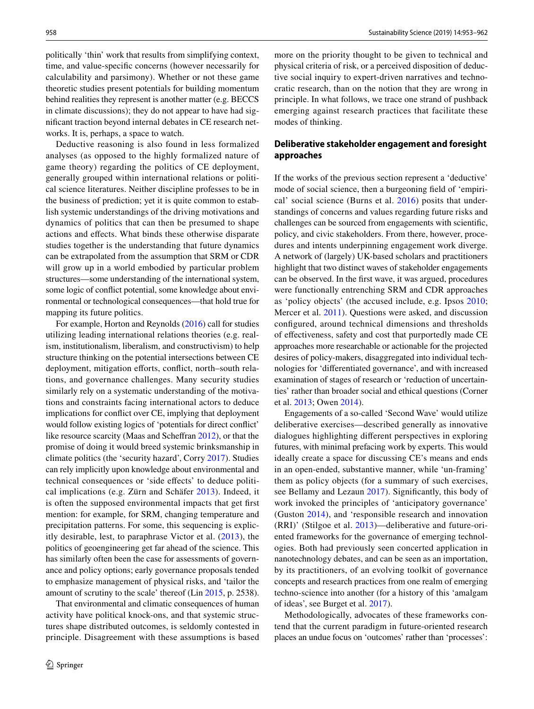politically 'thin' work that results from simplifying context, time, and value-specifc concerns (however necessarily for calculability and parsimony). Whether or not these game theoretic studies present potentials for building momentum behind realities they represent is another matter (e.g. BECCS in climate discussions); they do not appear to have had signifcant traction beyond internal debates in CE research networks. It is, perhaps, a space to watch.

Deductive reasoning is also found in less formalized analyses (as opposed to the highly formalized nature of game theory) regarding the politics of CE deployment, generally grouped within international relations or political science literatures. Neither discipline professes to be in the business of prediction; yet it is quite common to establish systemic understandings of the driving motivations and dynamics of politics that can then be presumed to shape actions and efects. What binds these otherwise disparate studies together is the understanding that future dynamics can be extrapolated from the assumption that SRM or CDR will grow up in a world embodied by particular problem structures—some understanding of the international system, some logic of confict potential, some knowledge about environmental or technological consequences—that hold true for mapping its future politics.

For example, Horton and Reynolds [\(2016](#page-8-13)) call for studies utilizing leading international relations theories (e.g. realism, institutionalism, liberalism, and constructivism) to help structure thinking on the potential intersections between CE deployment, mitigation efforts, conflict, north–south relations, and governance challenges. Many security studies similarly rely on a systematic understanding of the motivations and constraints facing international actors to deduce implications for confict over CE, implying that deployment would follow existing logics of 'potentials for direct confict' like resource scarcity (Maas and Scheffran [2012\)](#page-9-11), or that the promise of doing it would breed systemic brinksmanship in climate politics (the 'security hazard', Corry [2017](#page-8-14)). Studies can rely implicitly upon knowledge about environmental and technical consequences or 'side efects' to deduce political implications (e.g. Zürn and Schäfer [2013\)](#page-9-12). Indeed, it is often the supposed environmental impacts that get frst mention: for example, for SRM, changing temperature and precipitation patterns. For some, this sequencing is explicitly desirable, lest, to paraphrase Victor et al. ([2013](#page-9-13)), the politics of geoengineering get far ahead of the science. This has similarly often been the case for assessments of governance and policy options; early governance proposals tended to emphasize management of physical risks, and 'tailor the amount of scrutiny to the scale' thereof (Lin [2015,](#page-9-14) p. 2538).

That environmental and climatic consequences of human activity have political knock-ons, and that systemic structures shape distributed outcomes, is seldomly contested in principle. Disagreement with these assumptions is based more on the priority thought to be given to technical and physical criteria of risk, or a perceived disposition of deductive social inquiry to expert-driven narratives and technocratic research, than on the notion that they are wrong in principle. In what follows, we trace one strand of pushback emerging against research practices that facilitate these modes of thinking.

# <span id="page-5-0"></span>**Deliberative stakeholder engagement and foresight approaches**

If the works of the previous section represent a 'deductive' mode of social science, then a burgeoning feld of 'empirical' social science (Burns et al. [2016\)](#page-8-15) posits that understandings of concerns and values regarding future risks and challenges can be sourced from engagements with scientifc, policy, and civic stakeholders. From there, however, procedures and intents underpinning engagement work diverge. A network of (largely) UK-based scholars and practitioners highlight that two distinct waves of stakeholder engagements can be observed. In the frst wave, it was argued, procedures were functionally entrenching SRM and CDR approaches as 'policy objects' (the accused include, e.g. Ipsos [2010](#page-8-16); Mercer et al. [2011](#page-9-15)). Questions were asked, and discussion confgured, around technical dimensions and thresholds of efectiveness, safety and cost that purportedly made CE approaches more researchable or actionable for the projected desires of policy-makers, disaggregated into individual technologies for 'diferentiated governance', and with increased examination of stages of research or 'reduction of uncertainties' rather than broader social and ethical questions (Corner et al. [2013](#page-8-17); Owen [2014](#page-9-16)).

Engagements of a so-called 'Second Wave' would utilize deliberative exercises—described generally as innovative dialogues highlighting diferent perspectives in exploring futures, with minimal prefacing work by experts. This would ideally create a space for discussing CE's means and ends in an open-ended, substantive manner, while 'un-framing' them as policy objects (for a summary of such exercises, see Bellamy and Lezaun [2017\)](#page-8-18). Significantly, this body of work invoked the principles of 'anticipatory governance' (Guston [2014](#page-8-19)), and 'responsible research and innovation (RRI)' (Stilgoe et al. [2013](#page-9-17))—deliberative and future-oriented frameworks for the governance of emerging technologies. Both had previously seen concerted application in nanotechnology debates, and can be seen as an importation, by its practitioners, of an evolving toolkit of governance concepts and research practices from one realm of emerging techno-science into another (for a history of this 'amalgam of ideas', see Burget et al. [2017](#page-8-20)).

Methodologically, advocates of these frameworks contend that the current paradigm in future-oriented research places an undue focus on 'outcomes' rather than 'processes':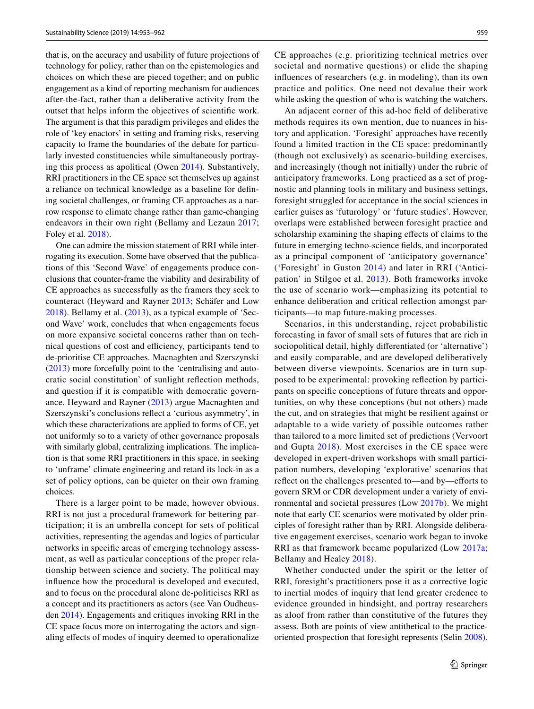that is, on the accuracy and usability of future projections of technology for policy, rather than on the epistemologies and choices on which these are pieced together; and on public engagement as a kind of reporting mechanism for audiences after-the-fact, rather than a deliberative activity from the outset that helps inform the objectives of scientifc work. The argument is that this paradigm privileges and elides the role of 'key enactors' in setting and framing risks, reserving capacity to frame the boundaries of the debate for particularly invested constituencies while simultaneously portraying this process as apolitical (Owen [2014\)](#page-9-16). Substantively, RRI practitioners in the CE space set themselves up against a reliance on technical knowledge as a baseline for defning societal challenges, or framing CE approaches as a narrow response to climate change rather than game-changing endeavors in their own right (Bellamy and Lezaun [2017](#page-8-18); Foley et al. [2018](#page-8-21)).

One can admire the mission statement of RRI while interrogating its execution. Some have observed that the publications of this 'Second Wave' of engagements produce conclusions that counter-frame the viability and desirability of CE approaches as successfully as the framers they seek to counteract (Heyward and Rayner [2013](#page-8-22); Schäfer and Low [2018](#page-9-18)). Bellamy et al. ([2013\)](#page-8-23), as a typical example of 'Second Wave' work, concludes that when engagements focus on more expansive societal concerns rather than on technical questions of cost and efficiency, participants tend to de-prioritise CE approaches. Macnaghten and Szerszynski [\(2013\)](#page-9-19) more forcefully point to the 'centralising and autocratic social constitution' of sunlight refection methods, and question if it is compatible with democratic governance. Heyward and Rayner ([2013\)](#page-8-22) argue Macnaghten and Szerszynski's conclusions refect a 'curious asymmetry', in which these characterizations are applied to forms of CE, yet not uniformly so to a variety of other governance proposals with similarly global, centralizing implications. The implication is that some RRI practitioners in this space, in seeking to 'unframe' climate engineering and retard its lock-in as a set of policy options, can be quieter on their own framing choices.

There is a larger point to be made, however obvious. RRI is not just a procedural framework for bettering participation; it is an umbrella concept for sets of political activities, representing the agendas and logics of particular networks in specifc areas of emerging technology assessment, as well as particular conceptions of the proper relationship between science and society. The political may infuence how the procedural is developed and executed, and to focus on the procedural alone de-politicises RRI as a concept and its practitioners as actors (see Van Oudheusden [2014\)](#page-9-20). Engagements and critiques invoking RRI in the CE space focus more on interrogating the actors and signaling efects of modes of inquiry deemed to operationalize

CE approaches (e.g. prioritizing technical metrics over societal and normative questions) or elide the shaping infuences of researchers (e.g. in modeling), than its own practice and politics. One need not devalue their work while asking the question of who is watching the watchers.

An adjacent corner of this ad-hoc feld of deliberative methods requires its own mention, due to nuances in history and application. 'Foresight' approaches have recently found a limited traction in the CE space: predominantly (though not exclusively) as scenario-building exercises, and increasingly (though not initially) under the rubric of anticipatory frameworks. Long practiced as a set of prognostic and planning tools in military and business settings, foresight struggled for acceptance in the social sciences in earlier guises as 'futurology' or 'future studies'. However, overlaps were established between foresight practice and scholarship examining the shaping efects of claims to the future in emerging techno-science felds, and incorporated as a principal component of 'anticipatory governance' ('Foresight' in Guston [2014](#page-8-19)) and later in RRI ('Anticipation' in Stilgoe et al. [2013\)](#page-9-17). Both frameworks invoke the use of scenario work—emphasizing its potential to enhance deliberation and critical refection amongst participants—to map future-making processes.

Scenarios, in this understanding, reject probabilistic forecasting in favor of small sets of futures that are rich in sociopolitical detail, highly diferentiated (or 'alternative') and easily comparable, and are developed deliberatively between diverse viewpoints. Scenarios are in turn supposed to be experimental: provoking refection by participants on specifc conceptions of future threats and opportunities, on why these conceptions (but not others) made the cut, and on strategies that might be resilient against or adaptable to a wide variety of possible outcomes rather than tailored to a more limited set of predictions (Vervoort and Gupta [2018](#page-9-21)). Most exercises in the CE space were developed in expert-driven workshops with small participation numbers, developing 'explorative' scenarios that reflect on the challenges presented to—and by—efforts to govern SRM or CDR development under a variety of environmental and societal pressures (Low [2017b](#page-9-22)). We might note that early CE scenarios were motivated by older principles of foresight rather than by RRI. Alongside deliberative engagement exercises, scenario work began to invoke RRI as that framework became popularized (Low [2017a](#page-9-23); Bellamy and Healey [2018\)](#page-8-24).

Whether conducted under the spirit or the letter of RRI, foresight's practitioners pose it as a corrective logic to inertial modes of inquiry that lend greater credence to evidence grounded in hindsight, and portray researchers as aloof from rather than constitutive of the futures they assess. Both are points of view antithetical to the practiceoriented prospection that foresight represents (Selin [2008](#page-9-24)).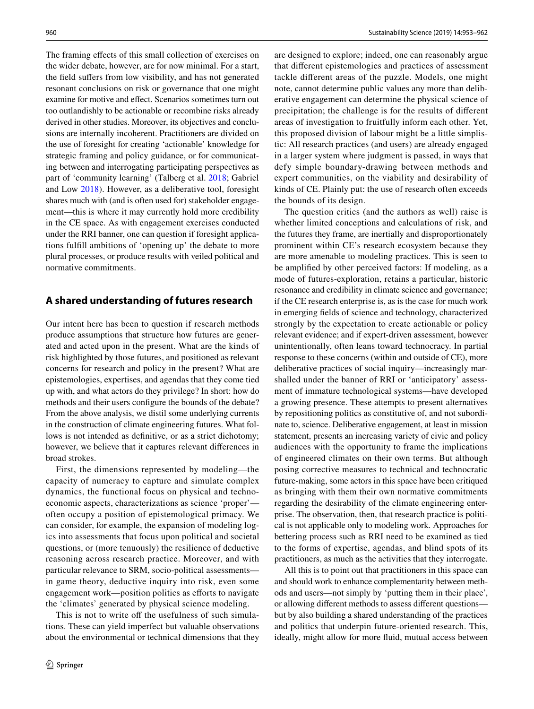The framing efects of this small collection of exercises on the wider debate, however, are for now minimal. For a start, the feld sufers from low visibility, and has not generated resonant conclusions on risk or governance that one might examine for motive and efect. Scenarios sometimes turn out too outlandishly to be actionable or recombine risks already derived in other studies. Moreover, its objectives and conclusions are internally incoherent. Practitioners are divided on the use of foresight for creating 'actionable' knowledge for strategic framing and policy guidance, or for communicating between and interrogating participating perspectives as part of 'community learning' (Talberg et al. [2018;](#page-9-25) Gabriel and Low [2018\)](#page-8-25). However, as a deliberative tool, foresight shares much with (and is often used for) stakeholder engagement—this is where it may currently hold more credibility in the CE space. As with engagement exercises conducted under the RRI banner, one can question if foresight applications fulfll ambitions of 'opening up' the debate to more plural processes, or produce results with veiled political and normative commitments.

## **A shared understanding of futures research**

Our intent here has been to question if research methods produce assumptions that structure how futures are generated and acted upon in the present. What are the kinds of risk highlighted by those futures, and positioned as relevant concerns for research and policy in the present? What are epistemologies, expertises, and agendas that they come tied up with, and what actors do they privilege? In short: how do methods and their users confgure the bounds of the debate? From the above analysis, we distil some underlying currents in the construction of climate engineering futures. What follows is not intended as defnitive, or as a strict dichotomy; however, we believe that it captures relevant diferences in broad strokes.

First, the dimensions represented by modeling—the capacity of numeracy to capture and simulate complex dynamics, the functional focus on physical and technoeconomic aspects, characterizations as science 'proper' often occupy a position of epistemological primacy. We can consider, for example, the expansion of modeling logics into assessments that focus upon political and societal questions, or (more tenuously) the resilience of deductive reasoning across research practice. Moreover, and with particular relevance to SRM, socio-political assessments in game theory, deductive inquiry into risk, even some engagement work—position politics as efforts to navigate the 'climates' generated by physical science modeling.

This is not to write off the usefulness of such simulations. These can yield imperfect but valuable observations about the environmental or technical dimensions that they are designed to explore; indeed, one can reasonably argue that diferent epistemologies and practices of assessment tackle diferent areas of the puzzle. Models, one might note, cannot determine public values any more than deliberative engagement can determine the physical science of precipitation; the challenge is for the results of diferent areas of investigation to fruitfully inform each other. Yet, this proposed division of labour might be a little simplistic: All research practices (and users) are already engaged in a larger system where judgment is passed, in ways that defy simple boundary-drawing between methods and expert communities, on the viability and desirability of kinds of CE. Plainly put: the use of research often exceeds the bounds of its design.

The question critics (and the authors as well) raise is whether limited conceptions and calculations of risk, and the futures they frame, are inertially and disproportionately prominent within CE's research ecosystem because they are more amenable to modeling practices. This is seen to be amplifed by other perceived factors: If modeling, as a mode of futures-exploration, retains a particular, historic resonance and credibility in climate science and governance; if the CE research enterprise is, as is the case for much work in emerging felds of science and technology, characterized strongly by the expectation to create actionable or policy relevant evidence; and if expert-driven assessment, however unintentionally, often leans toward technocracy. In partial response to these concerns (within and outside of CE), more deliberative practices of social inquiry—increasingly marshalled under the banner of RRI or 'anticipatory' assessment of immature technological systems—have developed a growing presence. These attempts to present alternatives by repositioning politics as constitutive of, and not subordinate to, science. Deliberative engagement, at least in mission statement, presents an increasing variety of civic and policy audiences with the opportunity to frame the implications of engineered climates on their own terms. But although posing corrective measures to technical and technocratic future-making, some actors in this space have been critiqued as bringing with them their own normative commitments regarding the desirability of the climate engineering enterprise. The observation, then, that research practice is political is not applicable only to modeling work. Approaches for bettering process such as RRI need to be examined as tied to the forms of expertise, agendas, and blind spots of its practitioners, as much as the activities that they interrogate.

All this is to point out that practitioners in this space can and should work to enhance complementarity between methods and users—not simply by 'putting them in their place', or allowing diferent methods to assess diferent questions but by also building a shared understanding of the practices and politics that underpin future-oriented research. This, ideally, might allow for more fuid, mutual access between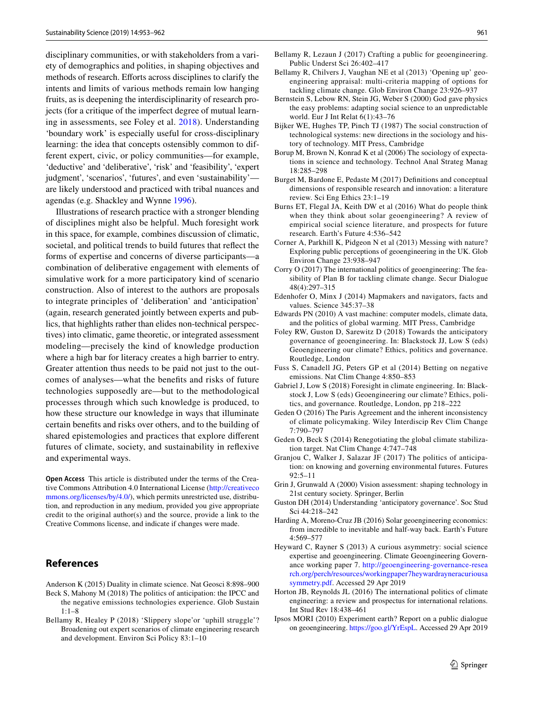disciplinary communities, or with stakeholders from a variety of demographics and polities, in shaping objectives and methods of research. Efforts across disciplines to clarify the intents and limits of various methods remain low hanging fruits, as is deepening the interdisciplinarity of research projects (for a critique of the imperfect degree of mutual learning in assessments, see Foley et al. [2018\)](#page-8-21). Understanding 'boundary work' is especially useful for cross-disciplinary learning: the idea that concepts ostensibly common to different expert, civic, or policy communities—for example, 'deductive' and 'deliberative', 'risk' and 'feasibility', 'expert judgment', 'scenarios', 'futures', and even 'sustainability' are likely understood and practiced with tribal nuances and agendas (e.g. Shackley and Wynne [1996\)](#page-9-26).

Illustrations of research practice with a stronger blending of disciplines might also be helpful. Much foresight work in this space, for example, combines discussion of climatic, societal, and political trends to build futures that refect the forms of expertise and concerns of diverse participants—a combination of deliberative engagement with elements of simulative work for a more participatory kind of scenario construction. Also of interest to the authors are proposals to integrate principles of 'deliberation' and 'anticipation' (again, research generated jointly between experts and publics, that highlights rather than elides non-technical perspectives) into climatic, game theoretic, or integrated assessment modeling—precisely the kind of knowledge production where a high bar for literacy creates a high barrier to entry. Greater attention thus needs to be paid not just to the outcomes of analyses—what the benefts and risks of future technologies supposedly are—but to the methodological processes through which such knowledge is produced, to how these structure our knowledge in ways that illuminate certain benefts and risks over others, and to the building of shared epistemologies and practices that explore diferent futures of climate, society, and sustainability in refexive and experimental ways.

**Open Access** This article is distributed under the terms of the Creative Commons Attribution 4.0 International License [\(http://creativeco](http://creativecommons.org/licenses/by/4.0/) [mmons.org/licenses/by/4.0/](http://creativecommons.org/licenses/by/4.0/)), which permits unrestricted use, distribution, and reproduction in any medium, provided you give appropriate credit to the original author(s) and the source, provide a link to the Creative Commons license, and indicate if changes were made.

# **References**

- <span id="page-8-7"></span>Anderson K (2015) Duality in climate science. Nat Geosci 8:898–900
- <span id="page-8-4"></span>Beck S, Mahony M (2018) The politics of anticipation: the IPCC and the negative emissions technologies experience. Glob Sustain 1:1–8
- <span id="page-8-24"></span>Bellamy R, Healey P (2018) 'Slippery slope'or 'uphill struggle'? Broadening out expert scenarios of climate engineering research and development. Environ Sci Policy 83:1–10
- <span id="page-8-18"></span>Bellamy R, Lezaun J (2017) Crafting a public for geoengineering. Public Underst Sci 26:402–417
- <span id="page-8-23"></span>Bellamy R, Chilvers J, Vaughan NE et al (2013) 'Opening up' geoengineering appraisal: multi-criteria mapping of options for tackling climate change. Glob Environ Change 23:926–937
- <span id="page-8-10"></span>Bernstein S, Lebow RN, Stein JG, Weber S (2000) God gave physics the easy problems: adapting social science to an unpredictable world. Eur J Int Relat 6(1):43–76
- <span id="page-8-11"></span>Bijker WE, Hughes TP, Pinch TJ (1987) The social construction of technological systems: new directions in the sociology and history of technology. MIT Press, Cambridge
- <span id="page-8-0"></span>Borup M, Brown N, Konrad K et al (2006) The sociology of expectations in science and technology. Technol Anal Strateg Manag 18:285–298
- <span id="page-8-20"></span>Burget M, Bardone E, Pedaste M (2017) Defnitions and conceptual dimensions of responsible research and innovation: a literature review. Sci Eng Ethics 23:1–19
- <span id="page-8-15"></span>Burns ET, Flegal JA, Keith DW et al (2016) What do people think when they think about solar geoengineering? A review of empirical social science literature, and prospects for future research. Earth's Future 4:536–542
- <span id="page-8-17"></span>Corner A, Parkhill K, Pidgeon N et al (2013) Messing with nature? Exploring public perceptions of geoengineering in the UK. Glob Environ Change 23:938–947
- <span id="page-8-14"></span>Corry O (2017) The international politics of geoengineering: The feasibility of Plan B for tackling climate change. Secur Dialogue 48(4):297–315
- <span id="page-8-9"></span>Edenhofer O, Minx J (2014) Mapmakers and navigators, facts and values. Science 345:37–38
- <span id="page-8-3"></span>Edwards PN (2010) A vast machine: computer models, climate data, and the politics of global warming. MIT Press, Cambridge
- <span id="page-8-21"></span>Foley RW, Guston D, Sarewitz D (2018) Towards the anticipatory governance of geoengineering. In: Blackstock JJ, Low S (eds) Geoengineering our climate? Ethics, politics and governance. Routledge, London
- <span id="page-8-8"></span>Fuss S, Canadell JG, Peters GP et al (2014) Betting on negative emissions. Nat Clim Change 4:850–853
- <span id="page-8-25"></span>Gabriel J, Low S (2018) Foresight in climate engineering. In: Blackstock J, Low S (eds) Geoengineering our climate? Ethics, politics, and governance. Routledge, London, pp 218–222
- <span id="page-8-6"></span>Geden O (2016) The Paris Agreement and the inherent inconsistency of climate policymaking. Wiley Interdiscip Rev Clim Change 7:790–797
- <span id="page-8-5"></span>Geden O, Beck S (2014) Renegotiating the global climate stabilization target. Nat Clim Change 4:747–748
- <span id="page-8-2"></span>Granjou C, Walker J, Salazar JF (2017) The politics of anticipation: on knowing and governing environmental futures. Futures 92:5–11
- <span id="page-8-1"></span>Grin J, Grunwald A (2000) Vision assessment: shaping technology in 21st century society. Springer, Berlin
- <span id="page-8-19"></span>Guston DH (2014) Understanding 'anticipatory governance'. Soc Stud Sci 44:218–242
- <span id="page-8-12"></span>Harding A, Moreno-Cruz JB (2016) Solar geoengineering economics: from incredible to inevitable and half-way back. Earth's Future 4:569–577
- <span id="page-8-22"></span>Heyward C, Rayner S (2013) A curious asymmetry: social science expertise and geoengineering. Climate Geoengineering Governance working paper 7. [http://geoengineering-governance-resea](http://geoengineering-governance-research.org/perch/resources/workingpaper7heywardrayneracuriousasymmetry.pdf) [rch.org/perch/resources/workingpaper7heywardrayneracuriousa](http://geoengineering-governance-research.org/perch/resources/workingpaper7heywardrayneracuriousasymmetry.pdf) [symmetry.pdf.](http://geoengineering-governance-research.org/perch/resources/workingpaper7heywardrayneracuriousasymmetry.pdf) Accessed 29 Apr 2019
- <span id="page-8-13"></span>Horton JB, Reynolds JL (2016) The international politics of climate engineering: a review and prospectus for international relations. Int Stud Rev 18:438–461
- <span id="page-8-16"></span>Ipsos MORI (2010) Experiment earth? Report on a public dialogue on geoengineering. [https://goo.gl/YrEspL.](https://goo.gl/YrEspL) Accessed 29 Apr 2019